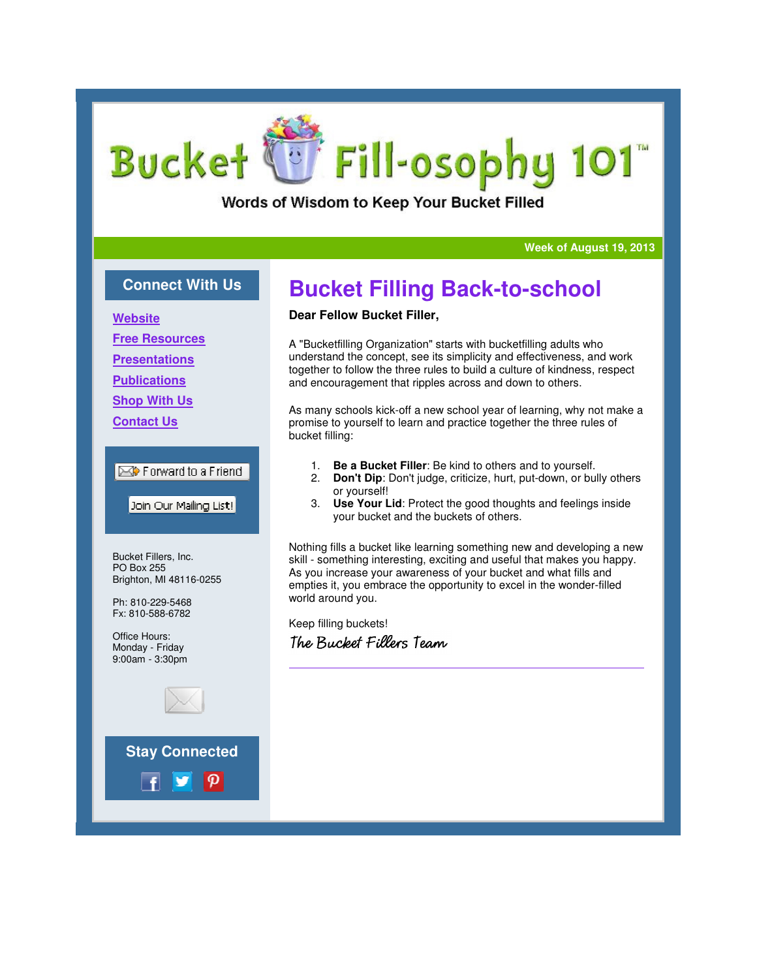# Fill-osophy 101 **Bucket**

Words of Wisdom to Keep Your Bucket Filled

#### **Week of August 19, 2013**

### **Connect With Us**

**Website**

**Free Resources**

**Presentations**

**Publications**

**Shop With Us**

**Contact Us**

### Forward to a Friend

Join Our Mailing List!

Bucket Fillers, Inc. PO Box 255 Brighton, MI 48116-0255

Ph: 810-229-5468 Fx: 810-588-6782

Office Hours: Monday - Friday 9:00am - 3:30pm



**Stay Connected**

# **Bucket Filling Back-to-school**

### **Dear Fellow Bucket Filler,**

A "Bucketfilling Organization" starts with bucketfilling adults who understand the concept, see its simplicity and effectiveness, and work together to follow the three rules to build a culture of kindness, respect and encouragement that ripples across and down to others.

As many schools kick-off a new school year of learning, why not make a promise to yourself to learn and practice together the three rules of bucket filling:

- 1. **Be a Bucket Filler**: Be kind to others and to yourself.
- 2. **Don't Dip**: Don't judge, criticize, hurt, put-down, or bully others or yourself!
- 3. **Use Your Lid**: Protect the good thoughts and feelings inside your bucket and the buckets of others.

Nothing fills a bucket like learning something new and developing a new skill - something interesting, exciting and useful that makes you happy. As you increase your awareness of your bucket and what fills and empties it, you embrace the opportunity to excel in the wonder-filled world around you.

Keep filling buckets! The Bucket Fillers Team